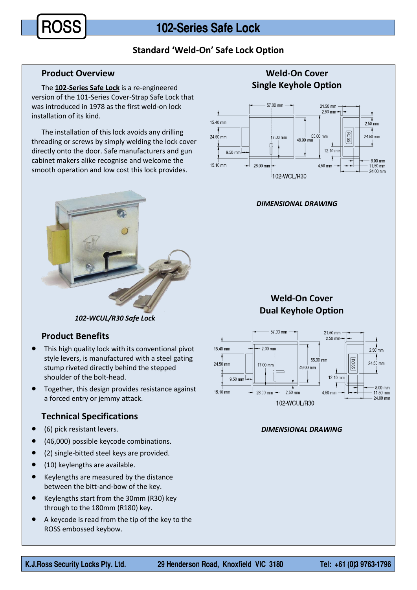# **Standard 'Weld-On' Safe Lock Option**

#### **Product Overview**

The **102-Series Safe Lock** is a re-engineered version of the 101-Series Cover-Strap Safe Lock that was introduced in 1978 as the first weld-on lock installation of its kind.

The installation of this lock avoids any drilling threading or screws by simply welding the lock cover directly onto the door. Safe manufacturers and gun cabinet makers alike recognise and welcome the smooth operation and low cost this lock provides.



*102-WCUL/R30 Safe Lock*

### **Product Benefits**

- This high quality lock with its conventional pivot style levers, is manufactured with a steel gating stump riveted directly behind the stepped shoulder of the bolt-head.
- **•** Together, this design provides resistance against a forced entry or jemmy attack.

# **Technical Specifications**

- (6) pick resistant levers.
- (46,000) possible keycode combinations.
- (2) single-bitted steel keys are provided.
- (10) keylengths are available.
- Keylengths are measured by the distance between the bitt-and-bow of the key.
- Keylengths start from the 30mm (R30) key through to the 180mm (R180) key.
- A keycode is read from the tip of the key to the ROSS embossed keybow.



#### *DIMENSIONAL DRAWING*

# **Weld-On Cover Dual Keyhole Option**



#### *DIMENSIONAL DRAWING*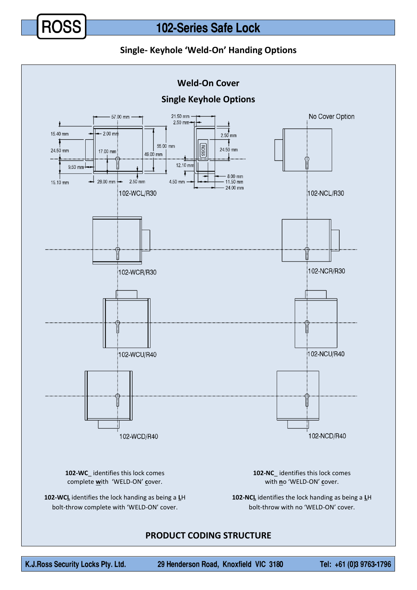

# 102-Series Safe Lock

## **Single- Keyhole 'Weld-On' Handing Options**



## **PRODUCT CODING STRUCTURE**

Tel: +61 (0)3 9763-1796